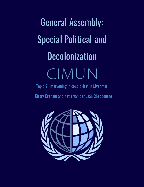# General Assembly: Special Political and **Decolonization** CIMUN

Topic 2: Intervening in coup d'état in Myanmar

Kirsty Graham and Katja van der Laan Chadbourne

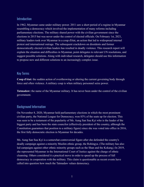#### Introduction

In 1962, Myanmar came under military power. 2011 saw a short period of a regime in Myanmar resembling a democracy which involved the implementation of many reforms including parliamentary elections. The military shared power with the civilian government since the elections in 2015 but was never under the control of elected officials. On February 1st, 2021, military leaders took over Myanmar in a coup d'état, an action that led to widespread internal protest and international outrage. The subsequent crackdown on dissidents and former democratically elected civilian leaders has resulted in deadly violence. This research report will explain the situation and difficulties in Myanmar, point delegates to relevant UN resolutions, and suggest possible solutions. Along with individual research, delegates should use this information to propose new and different solutions to an increasingly complex issue.

#### Key Terms

**Coup d'état:** the sudden action of overthrowing or altering the current governing body through force and often violence. A military coup is when military personnel seize power.

**Tatmadaw:** the name of the Myanmar military. It has never been under the control of the civilian government.

## Background Information

On November 8, 2020, Myanmar held parliamentary elections in which the most prominent civilian party, the National League for Democracy, won 83% of the seats up for election. This was seen to be a testament of the popularity of Ms. Aung San Suu Kyi who is the leader of the biggest party and has been the state councilor (effectively president of the country, although the Constitution guarantees that position to a military figure) since she was voted into office in 2016, the first fully democratic election in Myanmar for decades.

Ms. Aung San Suu Kyi is a somewhat controversial figure after she defended the country's deadly campaign against a minority Muslim ethnic group, the Rohingya. (The military has also led campaigns against other ethnic minority groups such as the Shan and the Kokang.) In 2019, she represented Myanmar in the International Court of Justice against the charge of ethnic cleansing. Others considered it a practical move in order to speed up the process of full democracy in cooperation with the military. This claim is questionable as recent events have called into question how much the Tatmadaw values democracy.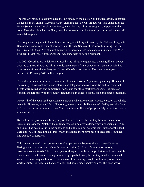The military refused to acknowledge the legitimacy of the election and unsuccessfully contested the results in Myanmar's Supreme Court, claiming the vote was fraudulent. This came after the Union Solidarity and Development Party, which had the military's support, did poorly in the polls. They then hinted at a military coup before seeming to back-track, claiming what they said was misinterpreted.

The coup d'état began with the military arresting and taking into custody the National League for Democracy leaders and a number of civilian officials. Some of these were Ms. Aung San Suu Kyi, President U Win Myint, chief ministers for several areas, and cabinet ministers. The Vice President Myint Swe, a former general, was appointed as acting president.

The 2008 Constitution, which was written by the military to guarantee them significant power over the country, allows the military to declare a state of emergency for Myanmar which they gave notice of over the military-run Myawaddy television station. The state of emergency declared in February 2021 will last a year.

The military thereafter inhibited communication and travel in Myanmar by cutting off much of the country's broadcast media and internet and telephone access. Domestic and international flights were called off, and commercial banks and the stock market were shut. Residents of Yangon, the largest city in the country, ran markets in order to supply food and other necessities.

One result of the coup has been extensive protests which, for several weeks, were, on the whole, peaceful. However, on the 20th of February, two unarmed civilians were killed by security forces in Mandalay during a demonstration. Two days later, millions of people in Myanmar took part in a general strike.

By the time the protests had been going on for two months, the military became much more brutal in its response. Notably, the military reacted similarly to democracy movements in 1988 and 2007. The death toll is in the hundreds and still climbing. A significant number of the dead were under 30 or including children. Many thousands more have been injured, arrested, taken into custody, or tortured.

This has encouraged many protesters to take up arms and become almost a guerrilla force. Daring and extreme action such as this seems to signify a kind of desperation amongst pro-democracy activists. There is a degree of disagreement between protesters as to what will be most effective, with an increasing number of people believing the military must be combated with its own techniques. In more remote areas of the country, people are training to use basic warfare strategies, firearms, hand grenades, and home-made smoke bombs. The overthrown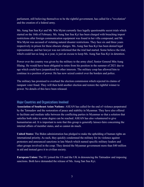parliament, still believing themselves to be the rightful government, has called for a "revolution" and the creation of a federal army.

Ms. Aung San Suu Kyi and Mr. Win Myint currently face legally questionable secret trials which started on the 16th of February. Ms. Aung San Suu Kyi has been charged with breaching import restrictions after foreign communication equipment was found in her villa compound, and Mr. Win Myint was accused of violating natural disaster restrictions. They face six and three years respectively in prison for these obscure charges. Ms. Aung San Suu Kyi has been denied legal representation, and her lawyer was not informed that the trial had started. Some believe the trial, which could last as long as a year, is just an excuse to keep Ms. Aung San Suu Kyi in detention.

Power over the country was given by the military to the army chief, Senior General Min Aung Hlaing. He would have been obligated to retire from his position in the summer of 2021 due to age which could have jeopardized his other interests. The military coup has allowed him to continue in a position of power. He has now seized control over the borders and police.

The military has promised to overhaul the election commission which rejected its claims of rampant voter fraud. They will then hold another election and restore the rightful winner to power. No details of this have been released.

#### Major Countries and Organizations Involved

**Association of Southeast Asian Nations:** ASEAN has called for the end of violence perpetrated by the Tatmadaw and the restoration of peace and stability in Myanmar. They have also offered to facilitate and mediate talks between the conflicting parties in Myanmar so that a solution that satisfies both sides to some degree can be reached. ASEAN has also volunteered to give humanitarian aid. It is important to note that this group is generally laissez-faire concerning the internal affairs of member states, and so cannot do much.

**United States:** The Biden administration has pledged to make the upholding of human rights an international priority. As such, they quickly condemned the military for its violence against protesters and announced sanctions in late March which named specific military leaders and other groups involved in the coup. They denied the Myanmar government more than \$40 million in aid and instead gave it to civilian society.

**European Union:** The EU joined the US and the UK in denouncing the Tatmadaw and imposing sanctions. Both have demanded the release of Ms. Aung San Suu Kyi.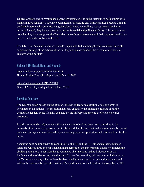**China:** China is one of Myanmar's biggest investors, so it is in the interests of both countries to maintain good relations. They have been hesitant in making any firm responses because China is on friendly terms with both Ms. Aung San Suu Kyi and the military that currently has her in custody. Instead, they have expressed a desire for social and political stability. It is important to note that they have not given the Tatmadaw generals any reassurance of their support should they need to defend themselves in the UN.

The UK, New Zealand, Australia, Canada, Japan, and India, amongst other countries, have all expressed outrage at the actions of the military and are demanding the release of all those in custody of the military.

Relevant UN Resolutions and Reports

<https://undocs.org/en/A/HRC/RES/46/21> Human Rights Council - adopted on 24 March, 2021

<https://undocs.org/en/A/RES/75/287> General Assembly - adopted on 18 June, 2021

### Possible Solutions

The UN resolution passed on the 18th of June has called for a cessation of selling arms to Myanmar by all nations. The resolution has also called for the immediate release of all the democratic leaders being illegally detained by the military and the end of violence towards protesters.

In order to intimidate Myanmar's military leaders into backing down and conceding to the demands of the democracy protesters, it is believed that the international response must be one of universal outrage and sanctions while endeavoring to protect protesters and civilians from further harm.

Sanctions must be imposed with care. In 2010, the US and the EU, amongst others, imposed sanctions which, through poor financial management by the government, adversely affected the civilian population, rather than the government. The sanctions had no influence over the implementation of democratic elections in 2011. At the least, they will serve as an indication to the Tatmadaw and any other military leaders considering a coup that such actions are not and will not be tolerated by the other nations. Targeted sanctions, such as those imposed by the US,